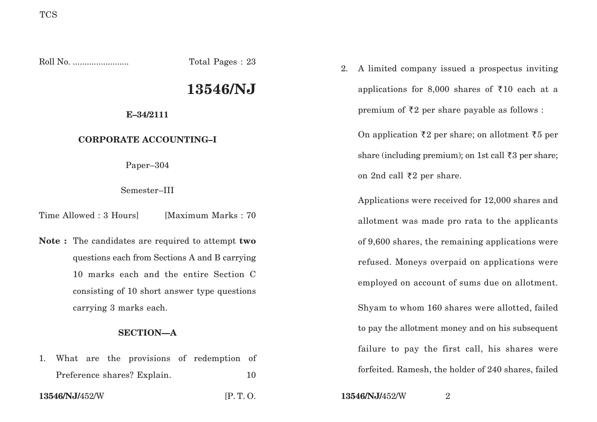Roll No. ........................ Total Pages : 23

# **13546/NJ**

## **E–34/2111**

# **CORPORATE ACCOUNTING–I**

Paper–304

Semester–III

Time Allowed : 3 Hours [Maximum Marks : 70]

**Note :** The candidates are required to attempt **two** questions each from Sections A and B carrying 10 marks each and the entire Section C consisting of 10 short answer type questions carrying 3 marks each.

# **SECTION—A**

1. What are the provisions of redemption of Preference shares? Explain. 10

2. A limited company issued a prospectus inviting applications for 8,000 shares of  $\overline{510}$  each at a premium of  $\bar{\tau}2$  per share payable as follows :

On application  $\bar{\zeta}2$  per share; on allotment  $\bar{\zeta}5$  per share (including premium); on 1st call  $\bar{\tau}$ 3 per share; on 2nd call  $\bar{\tau}$ 2 per share.

Applications were received for 12,000 shares and allotment was made pro rata to the applicants of 9,600 shares, the remaining applications were refused. Moneys overpaid on applications were employed on account of sums due on allotment. Shyam to whom 160 shares were allotted, failed to pay the allotment money and on his subsequent failure to pay the first call, his shares were forfeited. Ramesh, the holder of 240 shares, failed

**13546/NJ/**452/W [P. T. O. **13546/NJ/**452/W <sup>2</sup>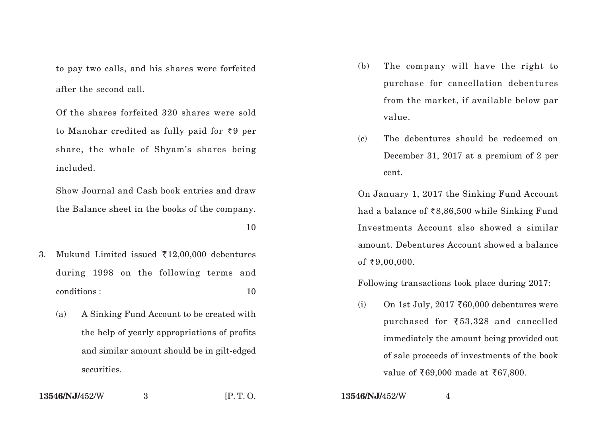to pay two calls, and his shares were forfeited after the second call.

Of the shares forfeited 320 shares were sold to Manohar credited as fully paid for ₹9 per share, the whole of Shyam's shares being included.

Show Journal and Cash book entries and draw the Balance sheet in the books of the company.

10

- 3. Mukund Limited issued  $\text{\texttt{\$12,00,000}}$  debentures during 1998 on the following terms and conditions : 10
	- (a) A Sinking Fund Account to be created with the help of yearly appropriations of profits and similar amount should be in gilt-edged securities.
- (b) The company will have the right to purchase for cancellation debentures from the market, if available below par value.
- (c) The debentures should be redeemed on December 31, 2017 at a premium of 2 per cent.

On January 1, 2017 the Sinking Fund Account had a balance of `8,86,500 while Sinking Fund Investments Account also showed a similar amount. Debentures Account showed a balance of ₹9,00,000.

Following transactions took place during 2017:

 $\mathrm{(i)}\qquad \mathrm{On} \, \, \mathrm{1st} \, \mathrm{July}, \, 2017 \, \, \bar{c} \, \mathrm{60,000} \, \mathrm{debentures} \, \mathrm{were}$ purchased for ` 53,328 and cancelled immediately the amount being provided out of sale proceeds of investments of the book value of ₹69,000 made at ₹67,800.

<sup>3</sup> [P. T. O. **13546/NJ/**452/W

4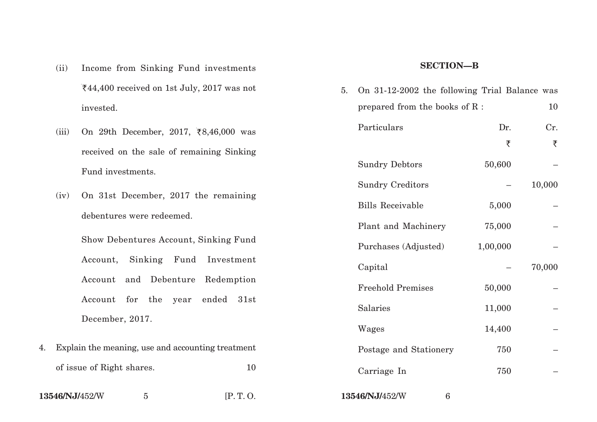- (ii) Income from Sinking Fund investments `44,400 received on 1st July, 2017 was not invested.
- (iii) On 29th December, 2017,  $\bar{\xi}8,46,000$  was received on the sale of remaining Sinking Fund investments.
- (iv) On 31st December, 2017 the remaining debentures were redeemed.

Show Debentures Account, Sinking Fund Account, Sinking Fund Investment Account and Debenture Redemption Account for the year ended 31st December, 2017.

| 4. Explain the meaning, use and accounting treatment |    |
|------------------------------------------------------|----|
| of issue of Right shares.                            | 10 |
|                                                      |    |

**13546/NJ/**452/W <sup>5</sup> [P. T. O. **13546/NJ/**452/W <sup>6</sup>

#### **SECTION—B**

| 5. | On 31-12-2002 the following Trial Balance was |          |        |
|----|-----------------------------------------------|----------|--------|
|    | prepared from the books of R :                |          | 10     |
|    | Particulars                                   | Dr.      | Cr.    |
|    |                                               | ₹        | ₹      |
|    | <b>Sundry Debtors</b>                         | 50,600   |        |
|    | <b>Sundry Creditors</b>                       |          | 10,000 |
|    | <b>Bills Receivable</b>                       | 5,000    |        |
|    | Plant and Machinery                           | 75,000   |        |
|    | Purchases (Adjusted)                          | 1,00,000 |        |
|    | Capital                                       |          | 70,000 |
|    | <b>Freehold Premises</b>                      | 50,000   |        |
|    | Salaries                                      | 11,000   |        |
|    | Wages                                         | 14,400   |        |
|    | Postage and Stationery                        | 750      |        |
|    | Carriage In                                   | 750      |        |
|    |                                               |          |        |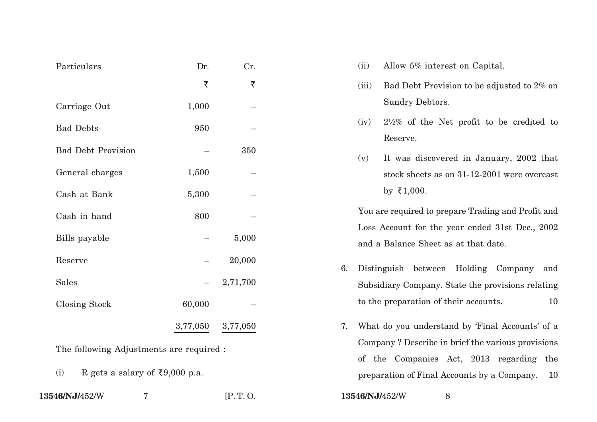| Particulars               | Dr.      | Cr.      |  |
|---------------------------|----------|----------|--|
|                           | ₹        | ₹        |  |
| Carriage Out              | 1,000    |          |  |
| <b>Bad Debts</b>          | 950      |          |  |
| <b>Bad Debt Provision</b> |          | 350      |  |
| General charges           | 1,500    |          |  |
| Cash at Bank              | 5,300    |          |  |
| Cash in hand              | 800      |          |  |
| Bills payable             |          | 5,000    |  |
| Reserve                   |          | 20,000   |  |
| <b>Sales</b>              |          | 2,71,700 |  |
| <b>Closing Stock</b>      | 60,000   |          |  |
|                           | 3,77,050 | 3,77,050 |  |

The following Adjustments are required :

(i) R gets a salary of  $\overline{\xi}9,000$  p.a.

| 13546/NJ/452/W |  |
|----------------|--|
|                |  |

- (ii) Allow 5% interest on Capital.
- (iii) Bad Debt Provision to be adjusted to 2% on Sundry Debtors.
- (iv) 2½% of the Net profit to be credited to Reserve.
- (v) It was discovered in January, 2002 that stock sheets as on 31-12-2001 were overcast by  $\bar{\tau}1,000$ .

You are required to prepare Trading and Profit and Loss Account for the year ended 31st Dec., 2002 and a Balance Sheet as at that date.

- 6. Distinguish between Holding Company and Subsidiary Company. State the provisions relating to the preparation of their accounts. 10
- 7. What do you understand by 'Final Accounts' of a Company ? Describe in brief the various provisions of the Companies Act, 2013 regarding the preparation of Final Accounts by a Company. 10

```
13546/NJ/452/W 7 [P. T. O. 13546/NJ/452/W 8
```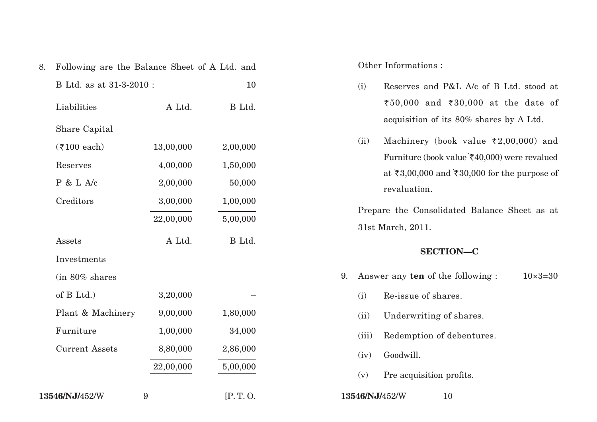| 8. | Following are the Balance Sheet of A Ltd. and |           |          |
|----|-----------------------------------------------|-----------|----------|
|    | B Ltd. as at 31-3-2010 :                      |           | 10       |
|    | Liabilities                                   | A Ltd.    | B Ltd.   |
|    | Share Capital                                 |           |          |
|    | $($ ₹100 each)                                | 13,00,000 | 2,00,000 |
|    | Reserves                                      | 4,00,000  | 1,50,000 |
|    | P & L A/c                                     | 2,00,000  | 50,000   |
|    | Creditors                                     | 3,00,000  | 1,00,000 |
|    |                                               | 22,00,000 | 5,00,000 |
|    | Assets                                        | A Ltd.    | B Ltd.   |
|    | Investments                                   |           |          |
|    | (in 80% shares                                |           |          |
|    | of B Ltd.)                                    | 3,20,000  |          |
|    | Plant & Machinery                             | 9,00,000  | 1,80,000 |
|    | Furniture                                     | 1,00,000  | 34,000   |
|    | <b>Current Assets</b>                         | 8,80,000  | 2,86,000 |
|    |                                               | 22,00,000 | 5,00,000 |
|    | 13546/NJ/452/W                                | 9         | [P.T. O. |

Other Informations :

- (i) Reserves and P&L A/c of B Ltd. stood at ₹50,000 and ₹30,000 at the date of acquisition of its 80% shares by A Ltd.
- (ii) Machinery (book value  $\bar{\tau}2,00,000$ ) and Furniture (book value  $\bar{\mathfrak{c}}$ 40,000) were revalued at ₹3,00,000 and ₹30,000 for the purpose of revaluation.

Prepare the Consolidated Balance Sheet as at 31st March, 2011.

## **SECTION—C**

- 9. Answer any **ten** of the following :  $10 \times 3 = 30$ 
	- (i) Re-issue of shares.
	- (ii) Underwriting of shares.
	- (iii) Redemption of debentures.
	- (iv) Goodwill.
	- (v) Pre acquisition profits.
- **13546/NJ/**452/W 10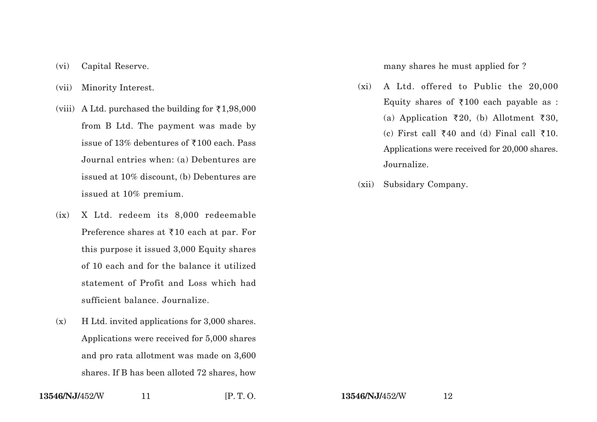- (vi) Capital Reserve.
- (vii) Minority Interest.
- (viii) A Ltd. purchased the building for  $\bar{\tau}$ 1,98,000 from B Ltd. The payment was made by issue of 13% debentures of  $\overline{5}100$  each. Pass Journal entries when: (a) Debentures are issued at 10% discount, (b) Debentures are issued at 10% premium.
- (ix) X Ltd. redeem its 8,000 redeemable Preference shares at  $\overline{z}10$  each at par. For this purpose it issued 3,000 Equity shares of 10 each and for the balance it utilized statement of Profit and Loss which had sufficient balance. Journalize.
- (x) H Ltd. invited applications for 3,000 shares. Applications were received for 5,000 shares and pro rata allotment was made on 3,600 shares. If B has been alloted 72 shares, how

many shares he must applied for ?

- (xi) A Ltd. offered to Public the 20,000 Equity shares of  $\overline{\xi}100$  each payable as : (a) Application  $\bar{\tau}20$ , (b) Allotment  $\bar{\tau}30$ , (c) First call  $\overline{\xi}40$  and (d) Final call  $\overline{\xi}10$ . Applications were received for 20,000 shares. Journalize.
- (xii) Subsidary Company.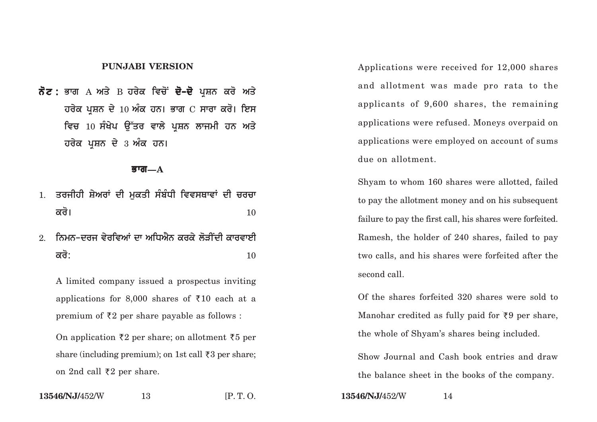## **PUNJABI VERSION**

 $\vec{\delta}$ ਟ : ਭਾਗ A ਅਤੇ B ਹਰੇਕ ਵਿਚੋਂ **ਦੋ-ਦੋ** ਪਸ਼ਨ ਕਰੋ ਅਤੇ **ਹਰੇਕ ਪਸ਼ਨ ਦੇ 10 ਅੰਕ ਹਨ। ਭਾਗ**  $C$  **ਸਾਰਾ ਕਰੋ। ਇਸ** <u>ਵਿਚ 10 ਸੰਖੇਪ ਉੱਤਰ ਵਾਲੇ ਪਸ਼ਨ ਲਾਜਮੀ ਹਨ ਅਤੇ</u> **ਹਰੇਕ ਪਸ਼ਨ ਦੇ 3 ਅੰਕ ਹਨ।** 

#### **Bwg—A**

- 1. ਤਰਜੀਹੀ ਸ਼ੇਅਰਾਂ ਦੀ ਮਕਤੀ ਸੰਬੰਧੀ ਵਿਵਸਥਾਵਾਂ ਦੀ **ਚਰਚਾ**  $\overrightarrow{\mathbf{a}}$ ਰੋ।  $\overrightarrow{\mathbf{a}}$
- <u>2. ਨਿਮਨ-ਦਰਜ ਵੇਰਵਿਆਂ ਦਾ ਅਧਿਐਨ ਕਰਕੇ ਲੋਤੀਂਦੀ ਕਾਰਵਾਈ</u>  $\overrightarrow{\mathsf{adj}}$ : 10

A limited company issued a prospectus inviting applications for 8,000 shares of  $\overline{\xi}10$  each at a premium of  $\bar{\tau}2$  per share payable as follows :

On application  $\bar{\zeta}2$  per share; on allotment  $\bar{\zeta}5$  per share (including premium); on 1st call  $\bar{\tau}3$  per share; on 2nd call ₹2 per share.

Applications were received for 12,000 shares and allotment was made pro rata to the applicants of 9,600 shares, the remaining applications were refused. Moneys overpaid on applications were employed on account of sums due on allotment.

Shyam to whom 160 shares were allotted, failed to pay the allotment money and on his subsequent failure to pay the first call, his shares were forfeited. Ramesh, the holder of 240 shares, failed to pay two calls, and his shares were forfeited after the second call.

Of the shares forfeited 320 shares were sold to Manohar credited as fully paid for  $\overline{\zeta}$  per share, the whole of Shyam's shares being included.

Show Journal and Cash book entries and draw the balance sheet in the books of the company.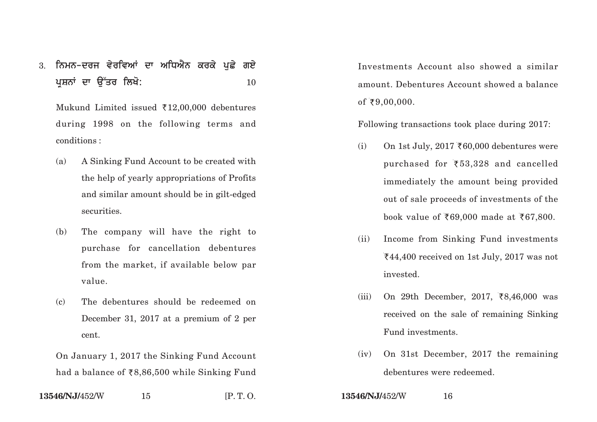3. ਨਿਮਨ-ਦਰਜ ਵੇਰਵਿਆਂ ਦਾ ਅਧਿਐਨ ਕਰਕੇ ਪਛੇ **ਗ**ਏ **pRSnW dw au~qr ilKo:** <sup>10</sup>

Mukund Limited issued  $\bar{\tau}$ 12,00,000 debentures during 1998 on the following terms and conditions :

- (a) A Sinking Fund Account to be created with the help of yearly appropriations of Profits and similar amount should be in gilt-edged securities.
- (b) The company will have the right to purchase for cancellation debentures from the market, if available below par value.
- (c) The debentures should be redeemed on December 31, 2017 at a premium of 2 per cent.

On January 1, 2017 the Sinking Fund Account had a balance of `8,86,500 while Sinking Fund

**13546/NJ/**452/W 15 **[P. T. O. <b>13546/NJ/**452/W 16

Investments Account also showed a similar amount. Debentures Account showed a balance of ₹9,00,000.

Following transactions took place during 2017:

- $\mathrm{(i)}\qquad$  On 1st July, 2017 ₹60,000 debentures were purchased for ` 53,328 and cancelled immediately the amount being provided out of sale proceeds of investments of the book value of `69,000 made at `67,800.
- (ii) Income from Sinking Fund investments `44,400 received on 1st July, 2017 was not invested.
- (iii) On 29th December, 2017, `8,46,000 was received on the sale of remaining Sinking Fund investments.
- (iv) On 31st December, 2017 the remaining debentures were redeemed.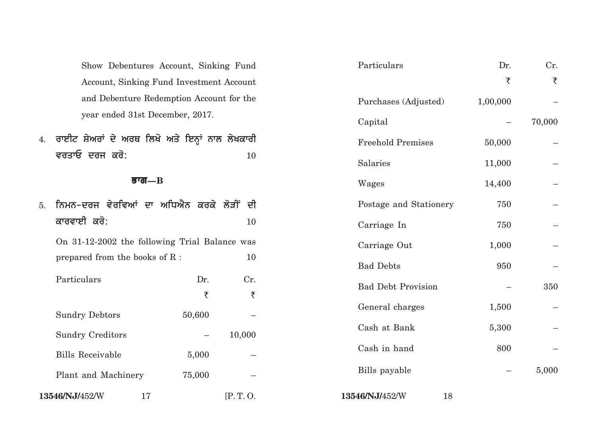4. **ਰਾਈਟ ਸ਼ੇਅਰਾਂ ਦੇ ਅਰਥ ਲਿਖੋ ਅਤੇ ਇਨ੍ਹਾਂ** ਨਾਲ ਲੇਖਕਾਰੀ ਵਰਤਾਓ ਦਰਜ ਕਰੋ: **10** 

## **Bwg—B**

| 5. |                                  | ਨਿਮਨ-ਦਰਜ ਵੇਰਵਿਆਂ ਦਾ ਅਧਿਐਨ ਕਰਕੇ ਲੋੜੀਂ ਦੀ       |         | Postage and Stationery    |  |
|----|----------------------------------|-----------------------------------------------|---------|---------------------------|--|
|    | ਕਾਰਵਾਈ ਕਰੋ:                      |                                               | 10      | Carriage In               |  |
|    |                                  | On 31-12-2002 the following Trial Balance was |         | Carriage Out              |  |
|    | prepared from the books of $R$ : |                                               | 10      | <b>Bad Debts</b>          |  |
|    | Particulars                      | Dr.                                           | Cr.     | <b>Bad Debt Provision</b> |  |
|    |                                  | ₹                                             | ₹       |                           |  |
|    | <b>Sundry Debtors</b>            | 50,600                                        |         | General charges           |  |
|    | <b>Sundry Creditors</b>          | $\overline{\phantom{m}}$                      | 10,000  | Cash at Bank              |  |
|    | <b>Bills Receivable</b>          | 5,000                                         |         | Cash in hand              |  |
|    | Plant and Machinery              | 75,000                                        |         | Bills payable             |  |
|    | 13546/NJ/452/W                   | 17                                            | [P.T.O. | 13546/NJ/452/W<br>18      |  |

| Show Debentures Account, Sinking Fund           |                          |          | Particulars               | Dr.      | Cr.    |
|-------------------------------------------------|--------------------------|----------|---------------------------|----------|--------|
| Account, Sinking Fund Investment Account        |                          |          |                           | ₹        | ₹      |
| and Debenture Redemption Account for the        |                          |          | Purchases (Adjusted)      | 1,00,000 |        |
| year ended 31st December, 2017.                 |                          |          | Capital                   |          | 70,000 |
| ਰਾਈਟ ਸ਼ੇਅਰਾਂ ਦੇ ਅਰਥ ਲਿਖੋ ਅਤੇ ਇਨ੍ਹਾਂ ਨਾਲ ਲੇਖਕਾਰੀ |                          |          | <b>Freehold Premises</b>  | 50,000   |        |
| ਵਰਤਾਓ ਦਰਜ ਕਰੋ:                                  |                          | 10       | Salaries                  | 11,000   |        |
| ਭਾਗ $\mathbf{-B}$                               |                          |          | Wages                     | 14,400   |        |
| ਨਿਮਨ-ਦਰਜ ਵੇਰਵਿਆਂ ਦਾ ਅਧਿਐਨ ਕਰਕੇ ਲੋੜੀਂ ਦੀ         |                          |          | Postage and Stationery    | 750      |        |
| ਕਾਰਵਾਈ ਕਰੋ:                                     |                          | 10       | Carriage In               | 750      |        |
| On 31-12-2002 the following Trial Balance was   |                          |          | Carriage Out              | 1,000    |        |
| prepared from the books of $R:$                 |                          | 10       | <b>Bad Debts</b>          | 950      |        |
| Particulars                                     | Dr.<br>₹                 | Cr.<br>₹ | <b>Bad Debt Provision</b> |          | 350    |
| <b>Sundry Debtors</b>                           | 50,600                   |          | General charges           | 1,500    |        |
| <b>Sundry Creditors</b>                         | $\overline{\phantom{m}}$ | 10,000   | Cash at Bank              | 5,300    |        |
| <b>Bills Receivable</b>                         | 5,000                    |          | Cash in hand              | 800      |        |
| Plant and Machinery                             | 75,000                   |          | Bills payable             |          | 5,000  |
|                                                 |                          |          |                           |          |        |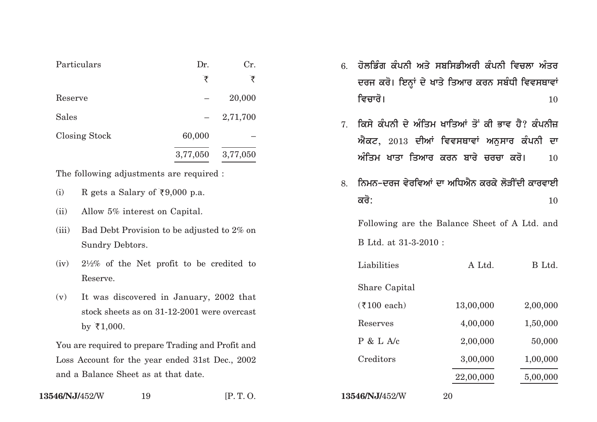| Particulars   | Dr.      | Cr.      |
|---------------|----------|----------|
|               | ₹        | ₹        |
| Reserve       |          | 20,000   |
| <b>Sales</b>  |          | 2,71,700 |
| Closing Stock | 60,000   |          |
|               | 3,77,050 | 3,77,050 |

The following adjustments are required :

- (i) R gets a Salary of  $\overline{\xi}9,000$  p.a.
- (ii) Allow 5% interest on Capital.
- (iii) Bad Debt Provision to be adjusted to 2% on Sundry Debtors.
- (iv) 2½% of the Net profit to be credited to Reserve.
- (v) It was discovered in January, 2002 that stock sheets as on 31-12-2001 were overcast by  $\bar{\tau}1,000$ .

You are required to prepare Trading and Profit and Loss Account for the year ended 31st Dec., 2002 and a Balance Sheet as at that date.

6. ਹੋਲਡਿੰਗ ਕੰਪਨੀ ਅਤੇ ਸਬਸਿਡੀਅਰੀ ਕੰਪਨੀ ਵਿਚਲਾ ਅੰਤਰ ਦਰਜ ਕਰੋ। ਇਨ੍ਹਾਂ ਦੇ ਖਾਤੇ ਤਿਆਰ ਕਰਨ ਸਬੰਧੀ ਵਿਵਸਥਾਵਾਂ **ivcwro[** <sup>10</sup>

- 7 ਕਿਸੇ ਕੰਪਨੀ ਦੇ ਅੰਤਿਮ ਖਾਤਿਆਂ ਤੋਂ ਕੀ ਭਾਵ ਹੈ? ਕੰਪਨੀਜ  $\hat{\mathbf{w}}$ ਕਟ,  $2013$  ਦੀਆਂ ਵਿਵਸਥਾਵਾਂ ਅਨਸਾਰ ਕੰਪਨੀ ਦਾ  $\hat{\mathcal{W}}$ ਤਿਮ ਖਾਤਾ ਤਿਆਰ ਕਰਨ ਬਾਰੇ ਚਰਚਾ ਕਰੋ। 10
- 8. ਨਿਮਨ-ਦਰਜ ਵੇਰਵਿਆਂ ਦਾ ਅਧਿਐਨ ਕਰਕੇ ਲੋਤੀਂਦੀ ਕਾਰਵਾਈ  $\overrightarrow{\mathsf{adj}}$ : 10

Following are the Balance Sheet of A Ltd. and B Ltd. at 31-3-2010 :

| Liabilities           | A Ltd.    | B Ltd.   |
|-----------------------|-----------|----------|
| Share Capital         |           |          |
| $(7100 \text{ each})$ | 13,00,000 | 2,00,000 |
| Reserves              | 4,00,000  | 1,50,000 |
| P & L A/c             | 2,00,000  | 50,000   |
| Creditors             | 3,00,000  | 1,00,000 |
|                       | 22,00,000 | 5,00,000 |
|                       |           |          |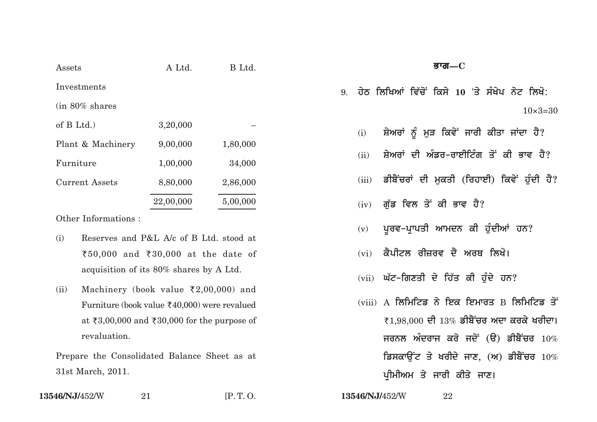| Assets                     | A Ltd.    | B Ltd.   |
|----------------------------|-----------|----------|
| Investments                |           |          |
| $(in 80\% \text{ shares})$ |           |          |
| of $B$ Ltd.)               | 3,20,000  |          |
| Plant & Machinery          | 9,00,000  | 1,80,000 |
| Furniture                  | 1,00,000  | 34,000   |
| <b>Current Assets</b>      | 8,80,000  | 2,86,000 |
|                            | 22,00,000 | 5,00,000 |

Other Informations :

- (i) Reserves and P&L A/c of B Ltd. stood at ₹50,000 and ₹30,000 at the date of acquisition of its 80% shares by A Ltd.
- (ii) Machinery (book value  $\bar{\tau}$ 2,00,000) and Furniture (book value  $\text{\textsterling}40,000$ ) were revalued at  $\bar{\tau}3,00,000$  and  $\bar{\tau}30,000$  for the purpose of revaluation.

Prepare the Consolidated Balance Sheet as at 31st March, 2011.

**13546/NJ/**452/W <sup>21</sup> [P. T. O. **13546/NJ/**452/W <sup>22</sup>

**Bwg—C**

9. ਹੇਨ ਲਿਖਿਆਂ ਵਿੱਚੋਂ ਕਿਸੇ 10 'ਤੇ ਸੰਖੇਪ ਨੋਟ ਲਿਖੋ:  $10\times3=30$ 

- (i) ਸ਼ੇਅਰਾਂ ਨੂੰ ਮੁੜ ਕਿਵੇ<sup>:</sup> ਜਾਰੀ ਕੀਤਾ ਜਾਂਦਾ ਹੈ?
- (ii) ਸ਼ੇਅਰਾਂ ਦੀ ਅੰਡਰ-ਰਾਈਟਿੰਗ ਤੋਂ ਕੀ ਭਾਵ ਹੈ?
- (iii) ਡੀਬੈਂਚਰਾਂ ਦੀ ਮਕਤੀ (ਰਿਹਾਈ) ਕਿਵੇਂ ਹੰਦੀ ਹੈ?
- (iv) ਗੱਡ ਵਿਲ ਤੋਂ ਕੀ ਭਾਵ ਹੈ?
- (v) ਪੁਰਵ-ਪ੍ਰਾਪਤੀ ਆਮਦਨ ਕੀ ਹੁੰਦੀਆਂ ਹਨ?
- <u>(vi) ਕੈਪੀਟਲ ਰੀਜ਼ਰਵ ਦੈ ਅਰਥ ਲਿਖੋ।</u>
- (vii) ਘੱਟ-ਗਿਣਤੀ ਦੇ ਹਿੱਤ ਕੀ ਹੰਦੇ ਹਨ?
- (viii) A **ਲਿਮਿਟਿਡ** ਨੇ ਇਕ ਇਮਾਰਤ B ਲਿਮਿਟਿਡ ਤੋਂ ₹1,98,000 ਦੀ 13% ਡੀਬੈਂਚਰ ਅਦਾ ਕਰਕੇ ਖਰੀਦਾ।  $\overline{\text{H}}$ ਰਨਲ ਅੰਦਰਾਜ ਕਰੋ ਜਦੋਂ (ੳ) ਡੀਬੈਂਚਰ  $10\%$ **ਡਿਸਕਾਉਂਟ ਤੇ ਖਰੀਦੇ ਜਾਣ, (ਅ) ਡੀਬੈਂਚਰ**  $10\%$ ਪ੍ਰੀਮੀਅਮ ਤੇ ਜਾਰੀ ਕੀਤੇ **ਜਾਣ**।